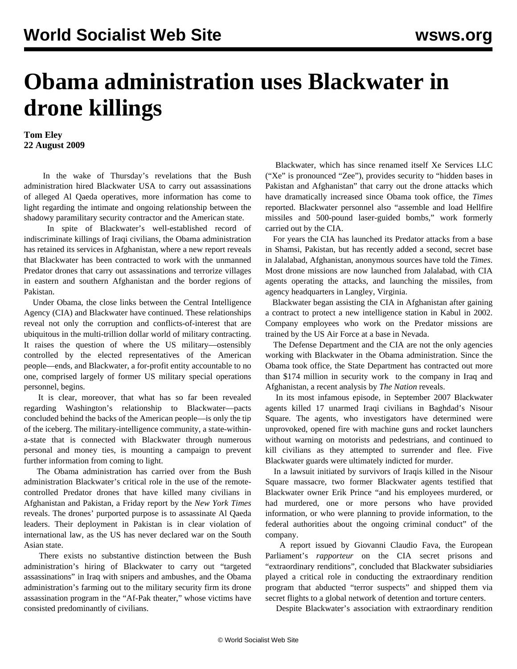## **Obama administration uses Blackwater in drone killings**

## **Tom Eley 22 August 2009**

 In the wake of Thursday's revelations that the Bush administration hired Blackwater USA to carry out assassinations of alleged Al Qaeda operatives, more information has come to light regarding the intimate and ongoing relationship between the shadowy paramilitary security contractor and the American state.

 In spite of Blackwater's well-established record of indiscriminate killings of Iraqi civilians, the Obama administration has retained its services in Afghanistan, where a new report reveals that Blackwater has been contracted to work with the unmanned Predator drones that carry out assassinations and terrorize villages in eastern and southern Afghanistan and the border regions of Pakistan.

 Under Obama, the close links between the Central Intelligence Agency (CIA) and Blackwater have continued. These relationships reveal not only the corruption and conflicts-of-interest that are ubiquitous in the multi-trillion dollar world of military contracting. It raises the question of where the US military—ostensibly controlled by the elected representatives of the American people—ends, and Blackwater, a for-profit entity accountable to no one, comprised largely of former US military special operations personnel, begins.

 It is clear, moreover, that what has so far been revealed regarding Washington's relationship to Blackwater—pacts concluded behind the backs of the American people—is only the tip of the iceberg. The military-intelligence community, a state-withina-state that is connected with Blackwater through numerous personal and money ties, is mounting a campaign to prevent further information from coming to light.

 The Obama administration has carried over from the Bush administration Blackwater's critical role in the use of the remotecontrolled Predator drones that have killed many civilians in Afghanistan and Pakistan, a Friday report by the *New York Times* reveals. The drones' purported purpose is to assassinate Al Qaeda leaders. Their deployment in Pakistan is in clear violation of international law, as the US has never declared war on the South Asian state.

 There exists no substantive distinction between the Bush administration's hiring of Blackwater to carry out "targeted assassinations" in Iraq with snipers and ambushes, and the Obama administration's farming out to the military security firm its drone assassination program in the "Af-Pak theater," whose victims have consisted predominantly of civilians.

 Blackwater, which has since renamed itself Xe Services LLC ("Xe" is pronounced "Zee"), provides security to "hidden bases in Pakistan and Afghanistan" that carry out the drone attacks which have dramatically increased since Obama took office, the *Times* reported. Blackwater personnel also "assemble and load Hellfire missiles and 500-pound laser-guided bombs," work formerly carried out by the CIA.

 For years the CIA has launched its Predator attacks from a base in Shamsi, Pakistan, but has recently added a second, secret base in Jalalabad, Afghanistan, anonymous sources have told the *Times*. Most drone missions are now launched from Jalalabad, with CIA agents operating the attacks, and launching the missiles, from agency headquarters in Langley, Virginia.

 Blackwater began assisting the CIA in Afghanistan after gaining a contract to protect a new intelligence station in Kabul in 2002. Company employees who work on the Predator missions are trained by the US Air Force at a base in Nevada.

 The Defense Department and the CIA are not the only agencies working with Blackwater in the Obama administration. Since the Obama took office, the State Department has contracted out more than \$174 million in security work to the company in Iraq and Afghanistan, a recent analysis by *The Nation* reveals.

 In its most infamous episode, in September 2007 Blackwater agents killed 17 unarmed Iraqi civilians in Baghdad's Nisour Square. The agents, who investigators have determined were unprovoked, opened fire with machine guns and rocket launchers without warning on motorists and pedestrians, and continued to kill civilians as they attempted to surrender and flee. Five Blackwater guards were ultimately indicted for murder.

 In a lawsuit initiated by survivors of Iraqis killed in the Nisour Square massacre, two former Blackwater agents testified that Blackwater owner Erik Prince "and his employees murdered, or had murdered, one or more persons who have provided information, or who were planning to provide information, to the federal authorities about the ongoing criminal conduct" of the company.

 A report issued by Giovanni Claudio Fava, the European Parliament's *rapporteur* on the CIA secret prisons and "extraordinary renditions", concluded that Blackwater subsidiaries played a critical role in conducting the extraordinary rendition program that abducted "terror suspects" and shipped them via secret flights to a global network of detention and torture centers.

Despite Blackwater's association with extraordinary rendition